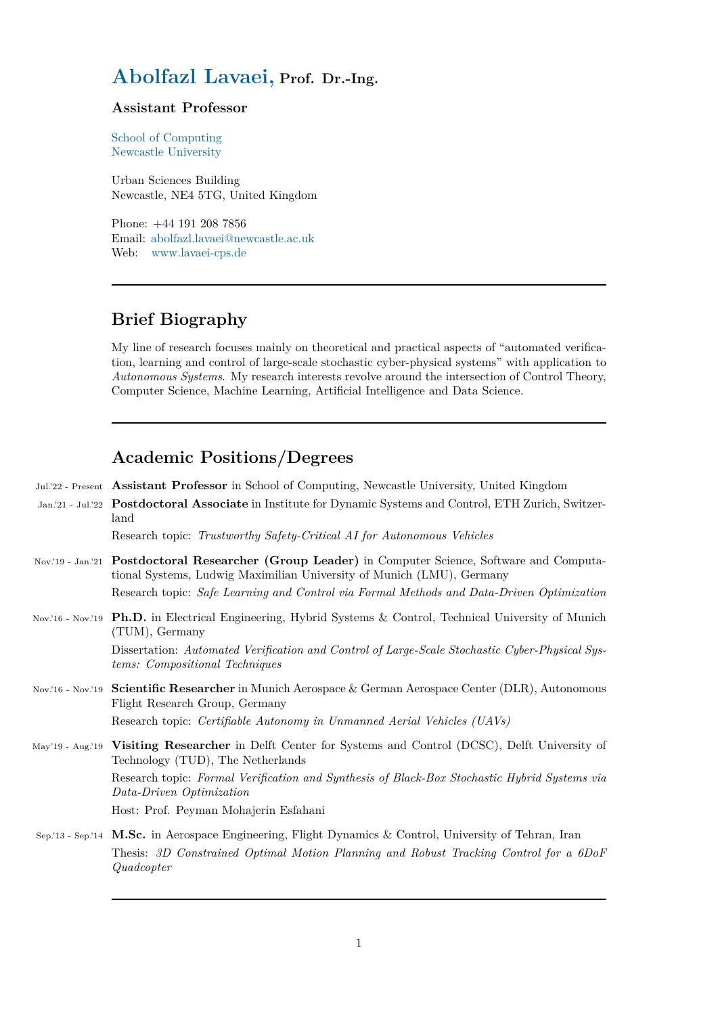# **Abolfazl Lavaei, Prof. Dr.-Ing.**

#### **Assistant Professor**

[School of Computing](www.lavaei.de) Newcastle University

Urban Sciences Building [Newcastle, NE4 5TG](https://www.ncl.ac.uk/computing), United Kingdom

[Phone: +44 191 208](https://www.ncl.ac.uk) 7856 Email: abolfazl.lavaei@newcastle.ac.uk Web: www.lavaei-cps.de

## **Brie[f Biography](https://lavaei-cps.de)**

*Quadcopter*

My line of research focuses mainly on theoretical and practical aspects of "automated verification, learning and control of large-scale stochastic cyber-physical systems" with application to *Autonomous Systems*. My research interests revolve around the intersection of Control Theory, Computer Science, Machine Learning, Artificial Intelligence and Data Science.

## **Academic Positions/Degrees**

|                   | Jul.'22 - Present Assistant Professor in School of Computing, Newcastle University, United Kingdom                                                                                                                                                                        |
|-------------------|---------------------------------------------------------------------------------------------------------------------------------------------------------------------------------------------------------------------------------------------------------------------------|
|                   | Jan.'21 - Jul.'22 Postdoctoral Associate in Institute for Dynamic Systems and Control, ETH Zurich, Switzer-<br>land                                                                                                                                                       |
|                   | Research topic: Trustworthy Safety-Critical AI for Autonomous Vehicles                                                                                                                                                                                                    |
|                   | Nov.'19 - Jan.'21 Postdoctoral Researcher (Group Leader) in Computer Science, Software and Computa-<br>tional Systems, Ludwig Maximilian University of Munich (LMU), Germany<br>Research topic: Safe Learning and Control via Formal Methods and Data-Driven Optimization |
|                   | Nov.'16 - Nov.'19 Ph.D. in Electrical Engineering, Hybrid Systems & Control, Technical University of Munich<br>$(TUM)$ , Germany                                                                                                                                          |
|                   | Dissertation: Automated Verification and Control of Large-Scale Stochastic Cyber-Physical Sys-<br><i>tems:</i> Compositional Techniques                                                                                                                                   |
| Nov.'16 - Nov.'19 | <b>Scientific Researcher</b> in Munich Aerospace & German Aerospace Center (DLR), Autonomous<br>Flight Research Group, Germany                                                                                                                                            |
|                   | Research topic: Certifiable Autonomy in Unmanned Aerial Vehicles (UAVs)                                                                                                                                                                                                   |
| May'19 - Aug.'19  | Visiting Researcher in Delft Center for Systems and Control (DCSC), Delft University of<br>Technology (TUD), The Netherlands                                                                                                                                              |
|                   | Research topic: Formal Verification and Synthesis of Black-Box Stochastic Hybrid Systems via<br>Data-Driven Optimization                                                                                                                                                  |
|                   | Host: Prof. Peyman Mohajerin Esfahani                                                                                                                                                                                                                                     |
|                   | Sep. 13 - Sep. 14 M.Sc. in Aerospace Engineering, Flight Dynamics & Control, University of Tehran, Iran                                                                                                                                                                   |
|                   | Thesis: 3D Constrained Optimal Motion Planning and Robust Tracking Control for a 6DoF                                                                                                                                                                                     |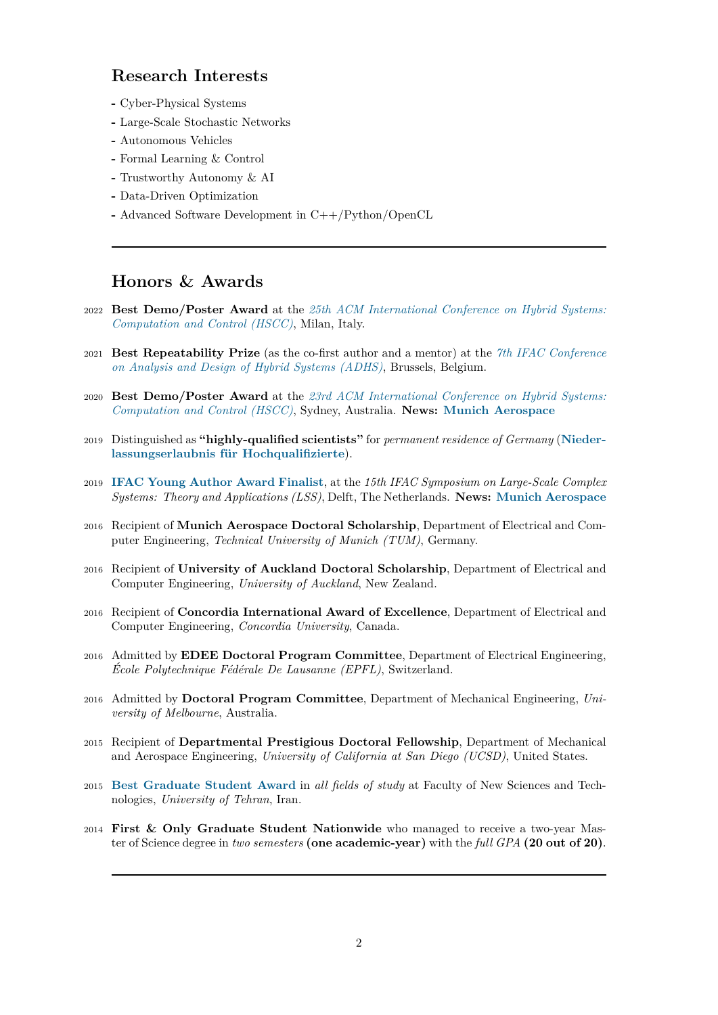## **Research Interests**

- **-** Cyber-Physical Systems
- **-** Large-Scale Stochastic Networks
- **-** Autonomous Vehicles
- **-** Formal Learning & Control
- **-** Trustworthy Autonomy & AI
- **-** Data-Driven Optimization
- **-** Advanced Software Development in C++/Python/OpenCL

## **Honors & Awards**

- 2022 **Best Demo/Poster Award** at the *25th ACM International Conference on Hybrid Systems: Computation and Control (HSCC)*, Milan, Italy.
- 2021 **Best Repeatability Prize** (as the co-first author and a mentor) at the *7th IFAC Conference on Analysis and Design of Hybrid Systems (ADHS)*[, Brussels, Belgium.](https://hscc.acm.org/2022/)
- 2020 **[Best Demo/Poster Award](https://hscc.acm.org/2022/)** at the *23rd ACM International Conference on Hybrid Systems: Computation and Control (HSCC)*, Sydney, Australia. **News: Munich [Aerospace](https://sites.uclouvain.be/adhs21/)**
- <sup>2019</sup> Distinguished as **["highly-qualified scientists"](https://sites.uclouvain.be/adhs21/)** for *permanent residence of Germany* (**Niederlassungserlaubnis für Hochquali[fizierte](https://berkeleylearnverify.github.io/HSCC_2020/)**).
- <sup>2019</sup> **[IFAC Young Author Award Fin](https://berkeleylearnverify.github.io/HSCC_2020/)alist**, at the *15th IFAC Sym[posium on Large-Scale](https://www.munich-aerospace.de/en/news/alumnus-lavaei-receives-best-demo-poster-award-at-acm-hscc-2020) Complex Systems: Theory and Applications (LSS)*, Delft, The Netherlands. **News: Munich A[erospace](http://www.muenchen.de/dienstleistungsfinder/muenchen/1080812/)**
- <sup>2016</sup> Recipient of **[Munich Aerospace Doctoral](http://www.muenchen.de/dienstleistungsfinder/muenchen/1080812/) Scholarship**, Department of Electrical and Computer Engineering, *[Technical University](https://www.hyconsys.com/members/lavaei/IFAC_Award_Certificate.jpg) of Munich (TUM)*, Germany.
- <sup>2016</sup> Recipient of **University of Auckland Doctoral Scholarship**, Depart[ment of Electrical and](https://www.munich-aerospace.de/en/news/munich-aerospace-scholarship-holder-receives-ifac-young-author-award) Computer Engineering, *University of Auckland*, New Zealand.
- <sup>2016</sup> Recipient of **Concordia International Award of Excellence**, Department of Electrical and Computer Engineering, *Concordia University*, Canada.
- <sup>2016</sup> Admitted by **EDEE Doctoral Program Committee**, Department of Electrical Engineering, *École Polytechnique Fédérale De Lausanne (EPFL)*, Switzerland.
- <sup>2016</sup> Admitted by **Doctoral Program Committee**, Department of Mechanical Engineering, *University of Melbourne*, Australia.
- <sup>2015</sup> Recipient of **Departmental Prestigious Doctoral Fellowship**, Department of Mechanical and Aerospace Engineering, *University of California at San Diego (UCSD)*, United States.
- <sup>2015</sup> **Best Graduate Student Award** in *all fields of study* at Faculty of New Sciences and Technologies, *University of Tehran*, Iran.
- <sup>2014</sup> **First & Only Graduate Student Nationwide** who managed to receive a two-year Mas[ter of Science degree in](https://www.hyconsys.com/members/lavaei/Master_Certificate.jpg) *two semesters* **(one academic-year)** with the *full GPA* **(20 out of 20)**.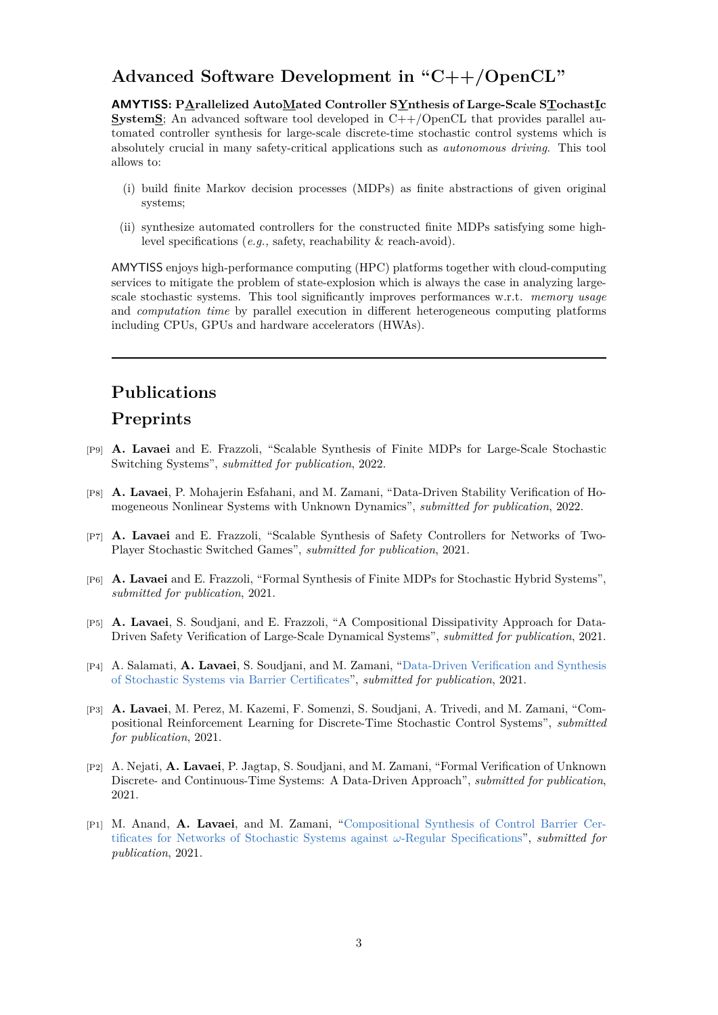## **Advanced Software Development in "C++/OpenCL"**

**AMYTISS: PArallelized AutoMated Controller SYnthesis of Large-Scale STochastIc SystemS**; An advanced software tool developed in C++/OpenCL that provides parallel automated controller synthesis for large-scale discrete-time stochastic control systems which is absolutely crucial in many safety-critical applications such as *autonomous driving*. This tool allows to:

- (i) build finite Markov decision processes (MDPs) as finite abstractions of given original systems;
- (ii) synthesize automated controllers for the constructed finite MDPs satisfying some highlevel specifications (*e.g.,* safety, reachability & reach-avoid).

AMYTISS enjoys high-performance computing (HPC) platforms together with cloud-computing services to mitigate the problem of state-explosion which is always the case in analyzing largescale stochastic systems. This tool significantly improves performances w.r.t. *memory usage* and *computation time* by parallel execution in different heterogeneous computing platforms including CPUs, GPUs and hardware accelerators (HWAs).

### **Publications**

#### **Preprints**

- [P9] **A. Lavaei** and E. Frazzoli, "Scalable Synthesis of Finite MDPs for Large-Scale Stochastic Switching Systems", *submitted for publication*, 2022.
- [P8] **A. Lavaei**, P. Mohajerin Esfahani, and M. Zamani, "Data-Driven Stability Verification of Homogeneous Nonlinear Systems with Unknown Dynamics", *submitted for publication*, 2022.
- [P7] **A. Lavaei** and E. Frazzoli, "Scalable Synthesis of Safety Controllers for Networks of Two-Player Stochastic Switched Games", *submitted for publication*, 2021.
- [P6] **A. Lavaei** and E. Frazzoli, "Formal Synthesis of Finite MDPs for Stochastic Hybrid Systems", *submitted for publication*, 2021.
- [P5] **A. Lavaei**, S. Soudjani, and E. Frazzoli, "A Compositional Dissipativity Approach for Data-Driven Safety Verification of Large-Scale Dynamical Systems", *submitted for publication*, 2021.
- [P4] A. Salamati, **A. Lavaei**, S. Soudjani, and M. Zamani, "Data-Driven Verification and Synthesis of Stochastic Systems via Barrier Certificates", *submitted for publication*, 2021.
- [P3] **A. Lavaei**, M. Perez, M. Kazemi, F. Somenzi, S. Soudjani, A. Trivedi, and M. Zamani, "Compositional Reinforcement Learning for Discrete-Time [Stochastic Control Systems",](https://arxiv.org/pdf/2111.10330.pdf) *submitted [for publication](https://arxiv.org/pdf/2111.10330.pdf)*, 2021.
- [P2] A. Nejati, **A. Lavaei**, P. Jagtap, S. Soudjani, and M. Zamani, "Formal Verification of Unknown Discrete- and Continuous-Time Systems: A Data-Driven Approach", *submitted for publication*, 2021.
- [P1] M. Anand, **A. Lavaei**, and M. Zamani, "Compositional Synthesis of Control Barrier Certificates for Networks of Stochastic Systems against *ω*-Regular Specifications", *submitted for publication*, 2021.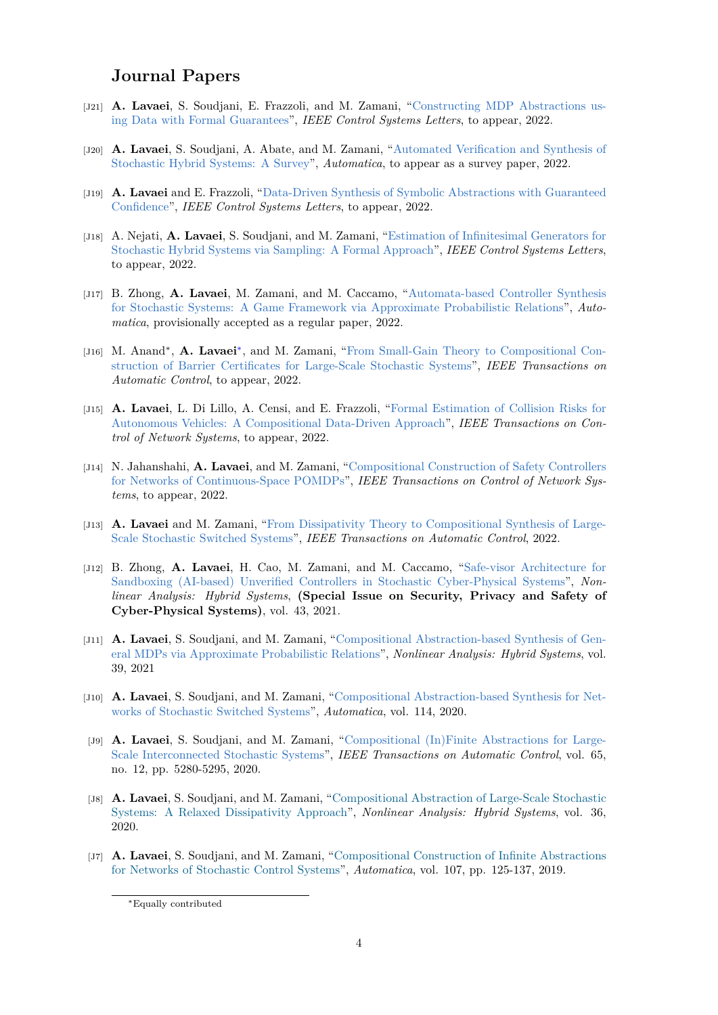## **Journal Papers**

- [J21] **A. Lavaei**, S. Soudjani, E. Frazzoli, and M. Zamani, "Constructing MDP Abstractions using Data with Formal Guarantees", *IEEE Control Systems Letters*, to appear, 2022.
- [J20] **A. Lavaei**, S. Soudjani, A. Abate, and M. Zamani, "Automated Verification and Synthesis of Stochastic Hybrid Systems: A Survey", *Automatica*, to a[ppear as a survey paper, 2022.](https://ieeexplore.ieee.org/document/9815301)
- [J19] **A. Lavaei** [and E. Frazzoli, "Data-](https://ieeexplore.ieee.org/document/9815301)Driven Synthesis of Symbolic Abstractions with Guaranteed Confidence", *IEEE Control Systems Letters*, to appe[ar, 2022.](https://arxiv.org/pdf/2101.07491.pdf)
- [J18] A. Nejati, **A. Lavaei**[, S. Soudjani, and](https://arxiv.org/pdf/2101.07491.pdf) M. Zamani, "Estimation of Infinitesimal Generators for Stochastic Hybrid Systems v[ia Sampling: A Formal Approach",](https://ieeexplore.ieee.org/document/9805765) *IEEE Control Systems Letters*, [to appear,](https://ieeexplore.ieee.org/document/9805765) 2022.
- [J17] B. Zhong, **A. Lavaei**, M. Zamani, and M. Caccam[o, "Automata-based Controller Synthesis](https://ieeexplore.ieee.org/document/9805799) [for Stochastic Systems: A Game Framework via Approximat](https://ieeexplore.ieee.org/document/9805799)e Probabilistic Relations", *Automatica*, provisionally accepted as a regular paper, 2022.
- [J16] M. Anand<sup>\*</sup>, A. Lavaei<sup>\*</sup>, and M. Zamani, "From Small[-Gain Theory to Compositional Con](https://arxiv.org/pdf/2104.11803.pdf)[struction of Barrier Certificates for Large-Scale Stochastic Systems",](https://arxiv.org/pdf/2104.11803.pdf) *IEEE Transactions on Automatic Control*, to appear, 2022.
- [J15] **A. Lavaei**, L. Di Lillo, A. Censi, and E. F[razzoli, "Formal Estimation of Collision Risks for](https://ieeexplore.ieee.org/document/9796643) [Autonomous Vehicles: A Compositional Data-Driven Approach",](https://ieeexplore.ieee.org/document/9796643) *IEEE Transactions on Control of Network Systems*, to appear, 2022.
- [J14] N. Jahanshahi, **A. Lavaei**, and M. Zamani, "Compo[sitional Construction of Safety Controllers](https://arxiv.org/pdf/2112.07187.pdf) [for Networks of Continuous-Space POMDPs",](https://arxiv.org/pdf/2112.07187.pdf) *IEEE Transactions on Control of Network Systems*, to appear, 2022.
- [J13] **A. Lavaei** and M. Zamani, "From Dissipati[vity Theory to Compositional Synthesis of Large-](https://ieeexplore.ieee.org/document/9808150)[Scale Stochastic Switched Systems",](https://ieeexplore.ieee.org/document/9808150) *IEEE Transactions on Automatic Control*, 2022.
- [J12] B. Zhong, **A. Lavaei**, H. Cao, M. Zamani, and M. Caccamo, "Safe-visor Architecture for Sandboxing (AI-based) Unve[rified Controllers in Stochastic Cyber-Physical Systems",](https://ieeexplore.ieee.org/document/9735305) *Non[linear Analysis: Hybrid Systems](https://ieeexplore.ieee.org/document/9735305)*, **(Special Issue on Security, Privacy and Safety of Cyber-Physical Systems)**, vol. 43, 2021.
- [J11] **A. Lavaei**[, S. Soudjani, and M. Zamani, "Compositional Abstraction-based Synthesis of Gen](https://www.sciencedirect.com/science/article/abs/pii/S1751570X2100100X)eral MDPs via Approximate Probabilistic Relations", *Nonlinear Analysis: Hybrid Systems*, vol. 39, 2021
- [J10] **A. Lavaei**, S. Soudjani, and M. Zamani, "[Compositional Abstraction-based Synthesis for Net](https://www.sciencedirect.com/science/article/pii/S1751570X20301382)[works of Stochastic Switched Systems",](https://www.sciencedirect.com/science/article/pii/S1751570X20301382) *Automatica*, vol. 114, 2020.
- [J9] **A. Lavaei**, S. Soudjani, and M. Zamani, "Compositional (In)Finite Abstractions for Large-Scale Interconnected Stochastic Systems", *[IEEE Transactions on Automatic Control](https://www.sciencedirect.com/science/article/pii/S000510982030025X?dgcid=author)*, vol. 65, [no. 12, pp. 5280-5295, 2020.](https://www.sciencedirect.com/science/article/pii/S000510982030025X?dgcid=author)
- [J8] **A. Lavaei**, S. Soudjani, and M. Zamani, "C[ompositional Abstraction of Large-Scale Stochastic](https://ieeexplore.ieee.org/document/9007399) [Systems: A Relaxed Dissipativity Appro](https://ieeexplore.ieee.org/document/9007399)ach", *Nonlinear Analysis: Hybrid Systems*, vol. 36, 2020.
- [J7] **A. Lavaei**, S. Soudjani, and M. Zamani, ["Compositional Construction of Infinite Abstractions](https://www.sciencedirect.com/science/article/pii/S1751570X20300273?dgcid=author) [for Networks of Stochastic Control Systems",](https://www.sciencedirect.com/science/article/pii/S1751570X20300273?dgcid=author) *Automatica*, vol. 107, pp. 125-137, 2019.

<span id="page-3-0"></span><sup>∗</sup>Equally contributed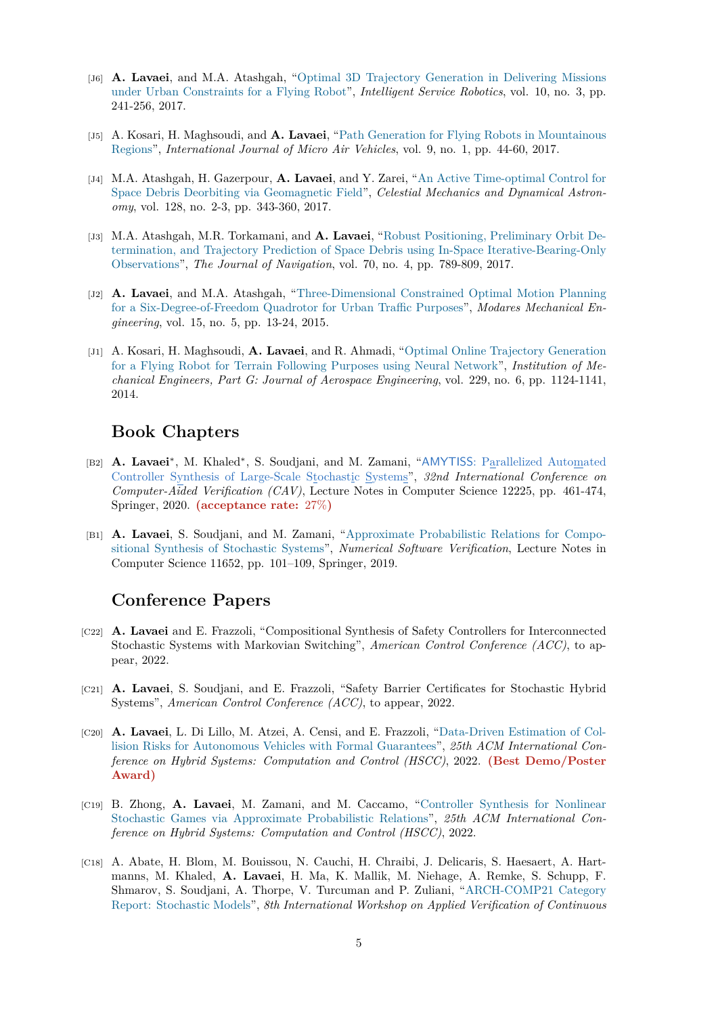- [J6] **A. Lavaei**, and M.A. Atashgah, "Optimal 3D Trajectory Generation in Delivering Missions under Urban Constraints for a Flying Robot", *Intelligent Service Robotics*, vol. 10, no. 3, pp. 241-256, 2017.
- [J5] A. Kosari, H. Maghsoudi, and **A. Lavaei**[, "Path Generation for Flying Robots in Mountainous](http://link.springer.com/article/10.1007/s11370-017-0225-x) Regions", *[International Journal of Micro Air](http://link.springer.com/article/10.1007/s11370-017-0225-x) Vehicles*, vol. 9, no. 1, pp. 44-60, 2017.
- [J4] M.A. Atashgah, H. Gazerpour, **A. Lavaei**, and Y. Zarei, "An Active Time-optimal Control for Space Debris Deorbiting via Geomagnetic Field", *[Celestial Mechanics and Dynamical Astron](http://journals.sagepub.com/doi/full/10.1177/1756829316678877)[omy](http://journals.sagepub.com/doi/full/10.1177/1756829316678877)*, vol. 128, no. 2-3, pp. 343-360, 2017.
- [J3] M.A. Atashgah, M.R. Torkamani, and **A. Lavaei**, "Robus[t Positioning, Preliminary Orbit De](http://link.springer.com/article/10.1007/s10569-017-9755-y)[termination, and Trajectory Prediction of Space](http://link.springer.com/article/10.1007/s10569-017-9755-y) Debris using In-Space Iterative-Bearing-Only Observations", *The Journal of Navigation*, vol. 70, no. 4, pp. 789-809, 2017.
- [J2] **A. Lavaei**, and M.A. Atashgah, "Three-Dimensio[nal Constrained Optimal Motion Planning](http://www.cambridge.org/core/journals/journal-of-navigation/article/robust-positioning-preliminary-orbit-determination-and-trajectory-prediction-of-space-debris-using-inspace-iterativebearingonly-observations/52EAE9766BCCE0C4703F43CE19D07F45) [for a Six-Degree-of-Freedom Quadrotor for Urban Traffic Purposes",](http://www.cambridge.org/core/journals/journal-of-navigation/article/robust-positioning-preliminary-orbit-determination-and-trajectory-prediction-of-space-debris-using-inspace-iterativebearingonly-observations/52EAE9766BCCE0C4703F43CE19D07F45) *Modares Mechanical En[gineering](http://www.cambridge.org/core/journals/journal-of-navigation/article/robust-positioning-preliminary-orbit-determination-and-trajectory-prediction-of-space-debris-using-inspace-iterativebearingonly-observations/52EAE9766BCCE0C4703F43CE19D07F45)*, vol. 15, no. 5, pp. 13-24, 2015.
- [J1] A. Kosari, H. Maghsoudi, **A. Lavaei**[, and R. Ahmadi, "Optimal Online Trajectory Generation](http://journals.modares.ac.ir/article-15-11338-en.html) [for a Flying Robot for Terrain Following Purposes using Neural N](http://journals.modares.ac.ir/article-15-11338-en.html)etwork", *Institution of Mechanical Engineers, Part G: Journal of Aerospace Engineering*, vol. 229, no. 6, pp. 1124-1141, 2014.

### **[Book Chapters](http://journals.sagepub.com/doi/abs/10.1177/0954410014545797)**

- [B2] **A. Lavaei***<sup>∗</sup>* , M. Khaled*<sup>∗</sup>* , S. Soudjani, and M. Zamani, "AMYTISS: Parallelized Automated Controller Synthesis of Large-Scale Stochastic Systems", *32nd International Conference on Computer-Aided Verification (CAV)*, Lecture Notes in Computer Science 12225, pp. 461-474, Springer, 2020. **(acceptance rate:** 27%**)**
- [B1] **A. Lavaei**[, S. Soudjani, and M. Zamani, "Approximat](https://link.springer.com/chapter/10.1007/978-3-030-53291-8_24)e [Probabilistic Relations for Compo](https://link.springer.com/chapter/10.1007/978-3-030-53291-8_24)sitional Synthesis of Stochastic Systems", *Numerical Software Verification*, Lecture Notes in Computer Science 11652, pp. 101–109, Springer, 2019.

#### **[Conference Papers](https://www.springerprofessional.de/en/approximate-probabilistic-relations-for-compositional-abstractio/17035628)**

- [C22] **A. Lavaei** and E. Frazzoli, "Compositional Synthesis of Safety Controllers for Interconnected Stochastic Systems with Markovian Switching", *American Control Conference (ACC)*, to appear, 2022.
- [C21] **A. Lavaei**, S. Soudjani, and E. Frazzoli, "Safety Barrier Certificates for Stochastic Hybrid Systems", *American Control Conference (ACC)*, to appear, 2022.
- [C20] **A. Lavaei**, L. Di Lillo, M. Atzei, A. Censi, and E. Frazzoli, "Data-Driven Estimation of Collision Risks for Autonomous Vehicles with Formal Guarantees", *25th ACM International Conference on Hybrid Systems: Computation and Control (HSCC)*, 2022. **(Best Demo/Poster Award)**
- [C19] B. Zhong, **A. Lavaei**[, M. Zamani, and M. Caccamo, "Controller Synthesis for Nonlinear](https://dl.acm.org/doi/10.1145/3501710.3524735) Stochastic Games via Approximate Probabilistic Relations", *25th ACM International Conference on Hybrid Systems: Computation and Control (HSCC)*, 2022.
- [C18] A. Abate, H. Blom, M. Bouissou, N. Cauchi, H. Chraibi, [J. Delicaris, S. Haesaert, A. Hart](https://dl.acm.org/doi/10.1145/3501710.3524732)manns, M. Khaled, **A. Lavaei**[, H. Ma, K. Mallik, M. Ni](https://dl.acm.org/doi/10.1145/3501710.3524732)ehage, A. Remke, S. Schupp, F. Shmarov, S. Soudjani, A. Thorpe, V. Turcuman and P. Zuliani, "ARCH-COMP21 Category Report: Stochastic Models", *8th International Workshop on Applied Verification of Continuous*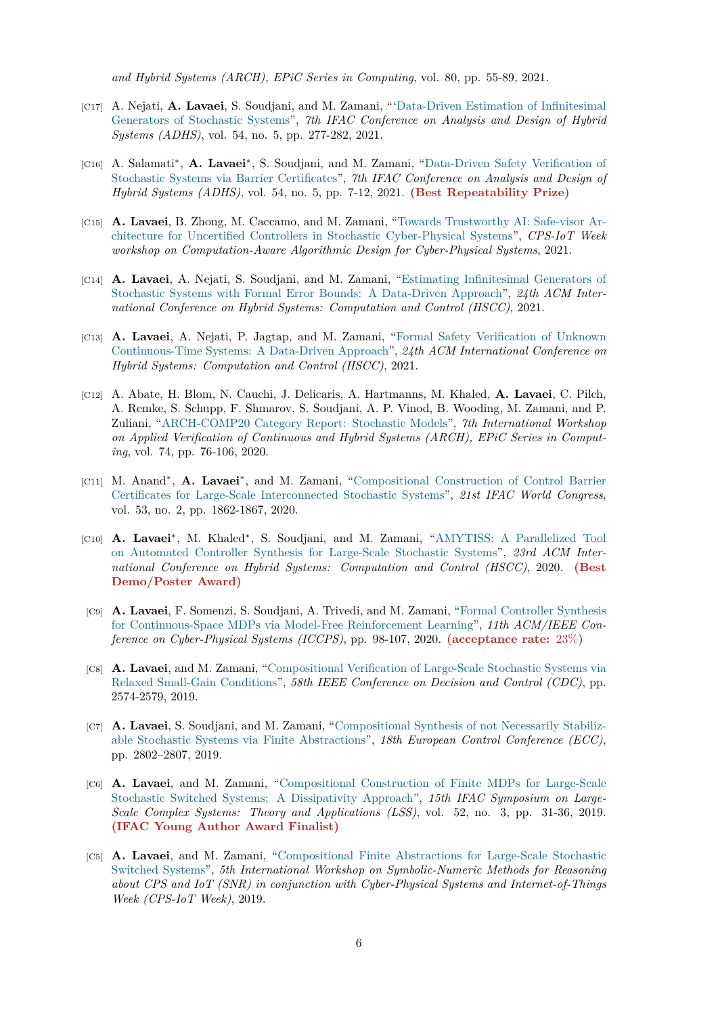*and Hybrid Systems (ARCH), EPiC Series in Computing*, vol. 80, pp. 55-89, 2021.

- [C17] A. Nejati, **A. Lavaei**, S. Soudjani, and M. Zamani, "'Data-Driven Estimation of Infinitesimal Generators of Stochastic Systems", *7th IFAC Conference on Analysis and Design of Hybrid Systems (ADHS)*, vol. 54, no. 5, pp. 277-282, 2021.
- [C16] A. Salamati*∗* , **A. Lavaei***∗* , S. Soudjani, and M. Zam[ani, "Data-Driven Safety Verification of](https://www.sciencedirect.com/science/article/pii/S2405896321012866) [Stochastic Systems via Barrier Ce](https://www.sciencedirect.com/science/article/pii/S2405896321012866)rtificates", *7th IFAC Conference on Analysis and Design of Hybrid Systems (ADHS)*, vol. 54, no. 5, pp. 7-12, 2021. **(Best Repeatability Prize)**
- [C15] **A. Lavaei**, B. Zhong, M. Caccamo, and M. Zamani, "Tow[ards Trustworthy AI: Safe-visor Ar](https://www.sciencedirect.com/science/article/pii/S2405896321012416)[chitecture for Uncertified Controllers in St](https://www.sciencedirect.com/science/article/pii/S2405896321012416)ochastic Cyber-Physical Systems", *CPS-IoT Week workshop on Computation-Aware Algorithmic Design for Cyber-Physical Systems*, 2021.
- [C14] **A. Lavaei**, A. Nejati, S. Soudjani, and M. Zamani, ["Estimating Infinitesimal Generators of](https://dl.acm.org/doi/abs/10.1145/3457335.3461705) [Stochastic Systems with Formal Error Bounds: A Data-Driven Approach",](https://dl.acm.org/doi/abs/10.1145/3457335.3461705) *24th ACM International Conference on Hybrid Systems: Computation and Control (HSCC)*, 2021.
- [C13] **A. Lavaei**, A. Nejati, P. Jagtap, and M. Zamani, "[Formal Safety Verification of Unknown](https://dl.acm.org/doi/10.1145/3447928.3456660) [Continuous-Time Systems: A Data-Driven Approach",](https://dl.acm.org/doi/10.1145/3447928.3456660) *24th ACM International Conference on Hybrid Systems: Computation and Control (HSCC)*, 2021.
- [C12] A. Abate, H. Blom, N. Cauchi, J. Delicaris, A. Hart[manns, M. Khaled,](https://dl.acm.org/doi/10.1145/3447928.3456661) **A. Lavaei**, C. Pilch, [A. Remke, S. Schupp, F. Shmarov, S. Soudjani, A. P](https://dl.acm.org/doi/10.1145/3447928.3456661). Vinod, B. Wooding, M. Zamani, and P. Zuliani, "ARCH-COMP20 Category Report: Stochastic Models", *7th International Workshop on Applied Verification of Continuous and Hybrid Systems (ARCH), EPiC Series in Computing*, vol. 74, pp. 76-106, 2020.
- [C11] M. Anand*<sup>∗</sup>* , **A. Lavaei***<sup>∗</sup>* [, and M. Zamani, "Compositional Co](https://easychair.org/publications/paper/VLXl)nstruction of Control Barrier Certificates for Large-Scale Interconnected Stochastic Systems", *21st IFAC World Congress*, vol. 53, no. 2, pp. 1862-1867, 2020.
- [C10] **A. Lavaei***<sup>∗</sup>* , M. Khaled*<sup>∗</sup>* , S. Soudjani, and [M. Zamani, "AMYTISS: A Parallelized Tool](https://www.sciencedirect.com/science/article/pii/S240589632033024X) [on Automated Controller Synthesis for Large-Scale Stochastic](https://www.sciencedirect.com/science/article/pii/S240589632033024X) Systems", *23rd ACM International Conference on Hybrid Systems: Computation and Control (HSCC)*, 2020. **(Best Demo/Poster Award)**
- [C9] **A. Lavaei**[, F. Somenzi, S. Soudjani, A. Trivedi, and M. Zamani, "Formal Controller Synthesis](https://dl.acm.org/doi/abs/10.1145/3365365.3383469) for Continuous-Space MDPs via Model-Free Reinforcement Learning", *11th ACM/IEEE Conference on Cyber-Physical Systems (ICCPS)*, pp. 98-107, 2020. **(acceptance rate:** 23%**)**
- [C8] **A. Lavaei**, and M. Zamani, "Compositional Verification of Large-[Scale Stochastic Systems via](https://conferences.computer.org/cpsiot/pdfs/ICCPS2020-2igU8bUaP8OG7uMv6rENFa/550100a098/550100a098.pdf) Relaxed Small-Gain Conditions", *[58th IEEE Conference on Decision](https://conferences.computer.org/cpsiot/pdfs/ICCPS2020-2igU8bUaP8OG7uMv6rENFa/550100a098/550100a098.pdf) and Control (CDC)*, pp. 2574-2579, 2019.
- [C7] **A. Lavaei**, S. Soudjani, and [M. Zamani, "Compositional Synthesis of not Necessarily Stabiliz](https://ieeexplore.ieee.org/document/9029485)[able Stochastic Systems via Fin](https://ieeexplore.ieee.org/document/9029485)ite Abstractions", *18th European Control Conference (ECC)*, pp. 2802–2807, 2019.
- [C6] **A. Lavaei**, and M. Zamani, "Compositi[onal Construction of Finite MDPs for Large-Scale](https://ieeexplore.ieee.org/abstract/document/8795996) [Stochastic Switched Systems: A Dissipativity A](https://ieeexplore.ieee.org/abstract/document/8795996)pproach", *15th IFAC Symposium on Large-Scale Complex Systems: Theory and Applications (LSS)*, vol. 52, no. 3, pp. 31-36, 2019. **(IFAC Young Author Award Finalist)**
- [C5] **A. Lavaei**[, and M. Zamani, "Compositional Finite Abstractions for Large-Scale Stochastic](http://www.sciencedirect.com/science/article/pii/S2405896319300904) Switched Systems", *5th International Workshop on Symbolic-Numeric Methods for Reasoning [about CPS and IoT \(SNR\) in conjunction w](https://www.hyconsys.com/members/lavaei/IFAC_Award_Certificate.jpg)ith Cyber-Physical Systems and Internet-of-Things Week (CPS-IoT Week)*, 2019.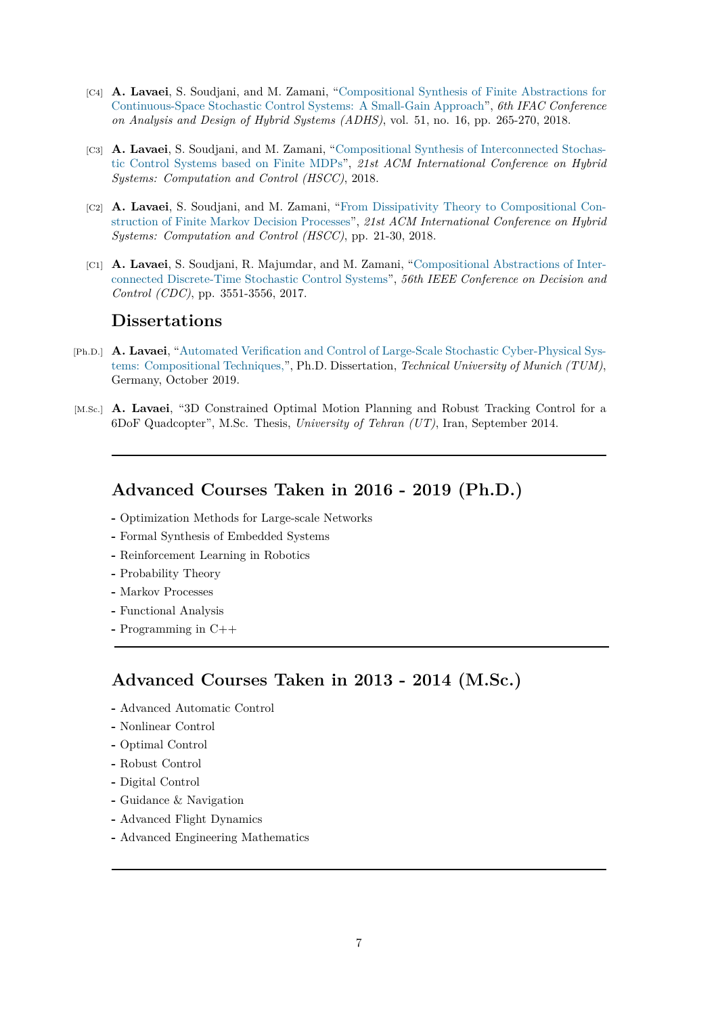- [C4] **A. Lavaei**, S. Soudjani, and M. Zamani, "Compositional Synthesis of Finite Abstractions for Continuous-Space Stochastic Control Systems: A Small-Gain Approach", *6th IFAC Conference on Analysis and Design of Hybrid Systems (ADHS)*, vol. 51, no. 16, pp. 265-270, 2018.
- [C3] **A. Lavaei**, S. Soudjani, and M. Zamani, "[Compositional Synthesis of Interconnected Stochas](http://www.sciencedirect.com/science/article/pii/S2405896318311613)[tic Control Systems based on Finite MDPs",](http://www.sciencedirect.com/science/article/pii/S2405896318311613) *21st ACM International Conference on Hybrid Systems: Computation and Control (HSCC)*, 2018.
- [C2] **A. Lavaei**, S. Soudjani, and M. Zamani, ["From Dissipativity Theory to Compositional Con](http://dl.acm.org/citation.cfm?id=3178126.3186999)[struction of Finite Markov Decision Processe](http://dl.acm.org/citation.cfm?id=3178126.3186999)s", *21st ACM International Conference on Hybrid Systems: Computation and Control (HSCC)*, pp. 21-30, 2018.
- [C1] **A. Lavaei**, S. Soudjani, R. Majumdar, and [M. Zamani, "Compositional Abstractions of Inter](http://dl.acm.org/citation.cfm?doid=3178126.3178135)[connected Discrete-Time Stochastic Control S](http://dl.acm.org/citation.cfm?doid=3178126.3178135)ystems", *56th IEEE Conference on Decision and Control (CDC)*, pp. 3551-3556, 2017.

## **Dissertations**

- [Ph.D.] **A. Lavaei**[, "Automated Verification and Control of L](http://ieeexplore.ieee.org/document/8264180?denied=)arge-Scale Stochastic Cyber-Physical Systems: Compositional Techniques,", Ph.D. Dissertation, *Technical University of Munich (TUM)*, Germany, October 2019.
- [M.Sc.] **A. Lavaei**, ["3D Constrained Optimal Motion Planning and Robust Tracking Control for a](https://mediatum.ub.tum.de/doc/1521465/1521465.pdf) [6DoF Quadcopter", M.Sc. Thesis](https://mediatum.ub.tum.de/doc/1521465/1521465.pdf), *University of Tehran (UT)*, Iran, September 2014.

#### **Advanced Courses Taken in 2016 - 2019 (Ph.D.)**

- **-** Optimization Methods for Large-scale Networks
- **-** Formal Synthesis of Embedded Systems
- **-** Reinforcement Learning in Robotics
- **-** Probability Theory
- **-** Markov Processes
- **-** Functional Analysis
- **-** Programming in C++

### **Advanced Courses Taken in 2013 - 2014 (M.Sc.)**

- **-** Advanced Automatic Control
- **-** Nonlinear Control
- **-** Optimal Control
- **-** Robust Control
- **-** Digital Control
- **-** Guidance & Navigation
- **-** Advanced Flight Dynamics
- **-** Advanced Engineering Mathematics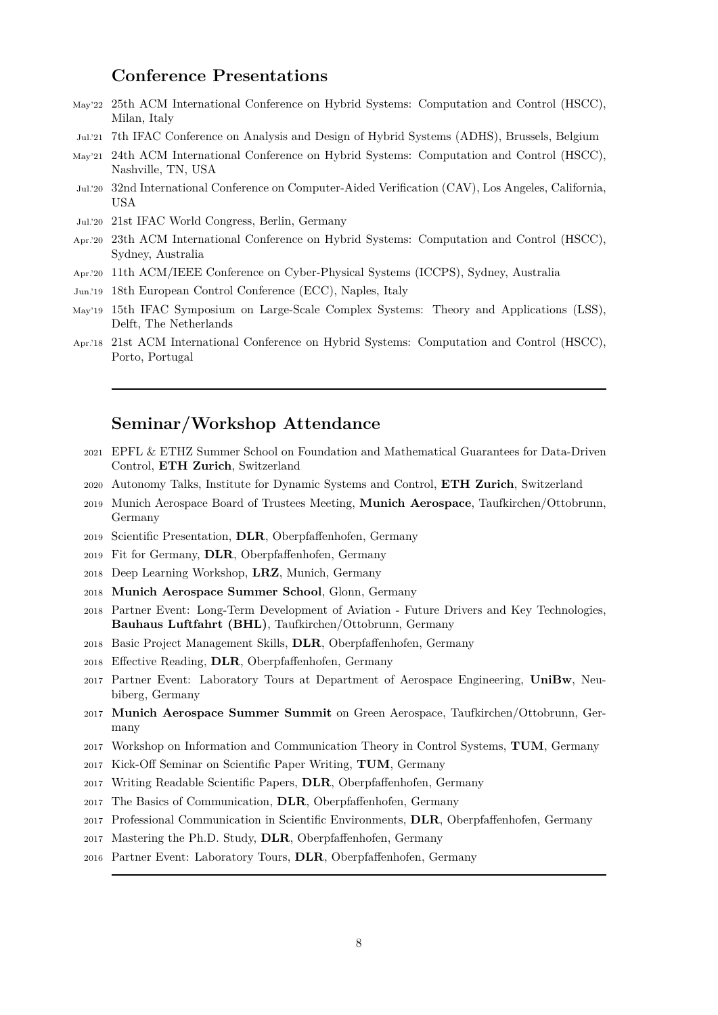#### **Conference Presentations**

- May'22 25th ACM International Conference on Hybrid Systems: Computation and Control (HSCC), Milan, Italy
- Jul.'21 7th IFAC Conference on Analysis and Design of Hybrid Systems (ADHS), Brussels, Belgium
- May'21 24th ACM International Conference on Hybrid Systems: Computation and Control (HSCC), Nashville, TN, USA
- Jul.'20 32nd International Conference on Computer-Aided Verification (CAV), Los Angeles, California, USA
- Jul.'20 21st IFAC World Congress, Berlin, Germany
- Apr.'20 23th ACM International Conference on Hybrid Systems: Computation and Control (HSCC), Sydney, Australia
- Apr.'20 11th ACM/IEEE Conference on Cyber-Physical Systems (ICCPS), Sydney, Australia
- Jun.'19 18th European Control Conference (ECC), Naples, Italy
- May'19 15th IFAC Symposium on Large-Scale Complex Systems: Theory and Applications (LSS), Delft, The Netherlands
- Apr.'18 21st ACM International Conference on Hybrid Systems: Computation and Control (HSCC), Porto, Portugal

### **Seminar/Workshop Attendance**

- <sup>2021</sup> EPFL & ETHZ Summer School on Foundation and Mathematical Guarantees for Data-Driven Control, **ETH Zurich**, Switzerland
- <sup>2020</sup> Autonomy Talks, Institute for Dynamic Systems and Control, **ETH Zurich**, Switzerland
- <sup>2019</sup> Munich Aerospace Board of Trustees Meeting, **Munich Aerospace**, Taufkirchen/Ottobrunn, Germany
- <sup>2019</sup> Scientific Presentation, **DLR**, Oberpfaffenhofen, Germany
- <sup>2019</sup> Fit for Germany, **DLR**, Oberpfaffenhofen, Germany
- <sup>2018</sup> Deep Learning Workshop, **LRZ**, Munich, Germany
- <sup>2018</sup> **Munich Aerospace Summer School**, Glonn, Germany
- <sup>2018</sup> Partner Event: Long-Term Development of Aviation Future Drivers and Key Technologies, **Bauhaus Luftfahrt (BHL)**, Taufkirchen/Ottobrunn, Germany
- <sup>2018</sup> Basic Project Management Skills, **DLR**, Oberpfaffenhofen, Germany
- <sup>2018</sup> Effective Reading, **DLR**, Oberpfaffenhofen, Germany
- <sup>2017</sup> Partner Event: Laboratory Tours at Department of Aerospace Engineering, **UniBw**, Neubiberg, Germany
- <sup>2017</sup> **Munich Aerospace Summer Summit** on Green Aerospace, Taufkirchen/Ottobrunn, Germany
- <sup>2017</sup> Workshop on Information and Communication Theory in Control Systems, **TUM**, Germany
- <sup>2017</sup> Kick-Off Seminar on Scientific Paper Writing, **TUM**, Germany
- <sup>2017</sup> Writing Readable Scientific Papers, **DLR**, Oberpfaffenhofen, Germany
- <sup>2017</sup> The Basics of Communication, **DLR**, Oberpfaffenhofen, Germany
- <sup>2017</sup> Professional Communication in Scientific Environments, **DLR**, Oberpfaffenhofen, Germany
- <sup>2017</sup> Mastering the Ph.D. Study, **DLR**, Oberpfaffenhofen, Germany
- <sup>2016</sup> Partner Event: Laboratory Tours, **DLR**, Oberpfaffenhofen, Germany